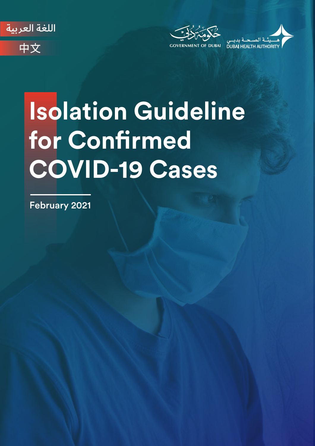







# **Isolation Guideline**  for Confirmed **COVID-19 Cases**

February 2021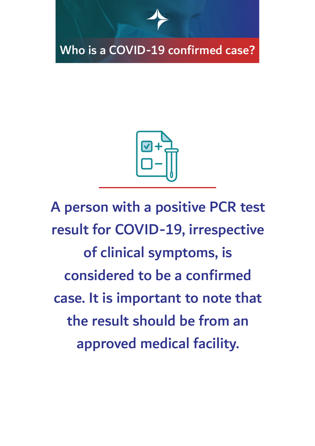



A person with a positive PCR test result for COVID-19, irrespective of clinical symptoms, is considered to be a confirmed case. It is important to note that the result should be from an approved medical facility.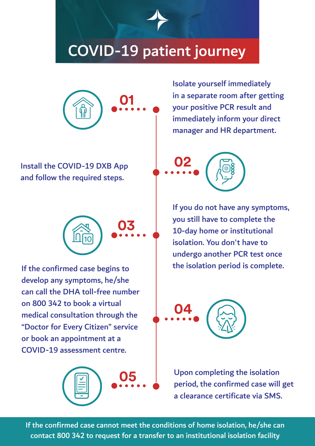# COVID-19 patient journey



Install the COVID-19 DXB App **02** and follow the required steps.



If the confirmed case begins to develop any symptoms, he/she can call the DHA toll-free number on 800 342 to book a virtual medical consultation through the "Doctor for Every Citizen" service or book an appointment at a COVID-19 assessment centre.



Isolate yourself immediately in a separate room after getting your positive PCR result and immediately inform your direct manager and HR department.

If you do not have any symptoms, you still have to complete the 10-day home or institutional isolation. You don't have to undergo another PCR test once the isolation period is complete.



**05** Upon completing the isolation period, the confirmed case will get a clearance certificate via SMS.

If the confirmed case cannot meet the conditions of home isolation, he/she can contact 800 342 to request for a transfer to an institutional isolation facility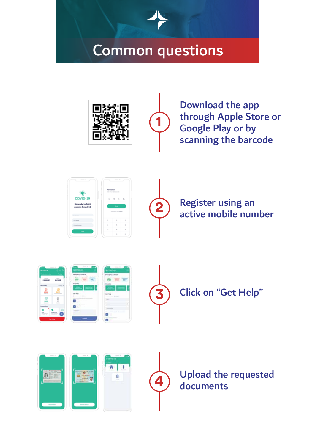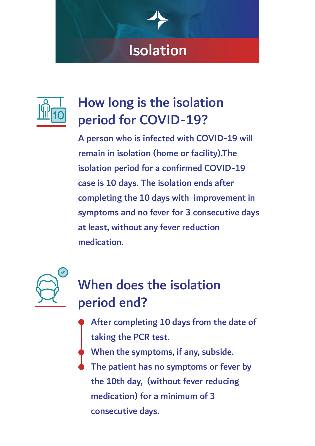# Isolation



# How long is the isolation period for COVID-19?

A person who is infected with COVID-19 will remain in isolation (home or facility).The isolation period for a confirmed COVID-19 case is 10 days. The isolation ends after completing the 10 days with improvement in symptoms and no fever for 3 consecutive days at least, without any fever reduction medication.



# When does the isolation period end?

- After completing 10 days from the date of taking the PCR test.
- When the symptoms, if any, subside.
- The patient has no symptoms or fever by the 10th day, (without fever reducing medication) for a minimum of 3 consecutive days.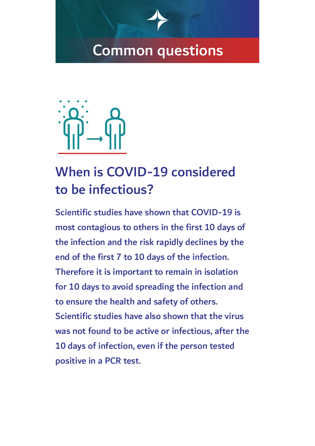

### When is COVID-19 considered to be infectious?

Scientific studies have shown that COVID-19 is most contagious to others in the first 10 days of the infection and the risk rapidly declines by the end of the first 7 to 10 days of the infection. Therefore it is important to remain in isolation for 10 days to avoid spreading the infection and to ensure the health and safety of others. Scientific studies have also shown that the virus was not found to be active or infectious, after the 10 days of infection, even if the person tested positive in a PCR test.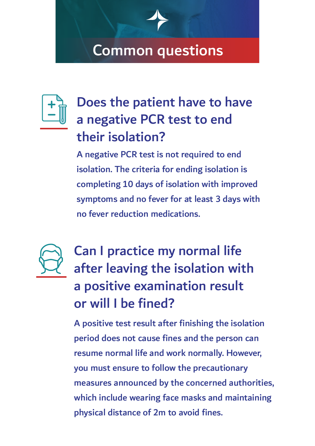

# Does the patient have to have a negative PCR test to end their isolation?

A negative PCR test is not required to end isolation. The criteria for ending isolation is completing 10 days of isolation with improved symptoms and no fever for at least 3 days with no fever reduction medications.



# Can I practice my normal life after leaving the isolation with a positive examination result or will I be fined?

A positive test result after finishing the isolation period does not cause fines and the person can resume normal life and work normally. However, you must ensure to follow the precautionary measures announced by the concerned authorities, which include wearing face masks and maintaining physical distance of 2m to avoid fines.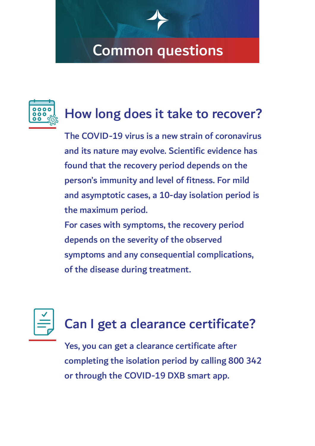

### How long does it take to recover?

The COVID-19 virus is a new strain of coronavirus and its nature may evolve. Scientific evidence has found that the recovery period depends on the person's immunity and level of fitness. For mild and asymptotic cases, a 10-day isolation period is the maximum period.

For cases with symptoms, the recovery period depends on the severity of the observed symptoms and any consequential complications, of the disease during treatment.



# Can I get a clearance certificate?

Yes, you can get a clearance certificate after completing the isolation period by calling 800 342 or through the COVID-19 DXB smart app.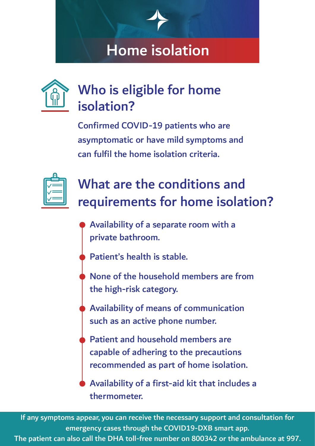# Home isolation



## Who is eligible for home isolation?

Confirmed COVID-19 patients who are asymptomatic or have mild symptoms and can fulfil the home isolation criteria.



# What are the conditions and requirements for home isolation?

- Availability of a separate room with a private bathroom.
- Patient's health is stable.
- None of the household members are from the high-risk category.
- Availability of means of communication such as an active phone number.
- Patient and household members are capable of adhering to the precautions recommended as part of home isolation.

Availability of a first-aid kit that includes a thermometer.

If any symptoms appear, you can receive the necessary support and consultation for emergency cases through the COVID19-DXB smart app.

The patient can also call the DHA toll-free number on 800342 or the ambulance at 997.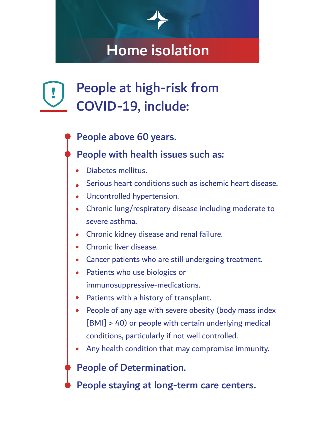# Home isolation

# People at high-risk from COVID-19, include:

People above 60 years.

#### People with health issues such as:

- Diabetes mellitus.
- Serious heart conditions such as ischemic heart disease.
- Uncontrolled hypertension.
- Chronic lung/respiratory disease including moderate to severe asthma.
- Chronic kidney disease and renal failure.
- Chronic liver disease.
- Cancer patients who are still undergoing treatment.
- Patients who use biologics or immunosuppressive-medications.
- Patients with a history of transplant.
- People of any age with severe obesity (body mass index [BMI] > 40) or people with certain underlying medical conditions, particularly if not well controlled.
- Any health condition that may compromise immunity.

#### People of Determination.

People staying at long-term care centers.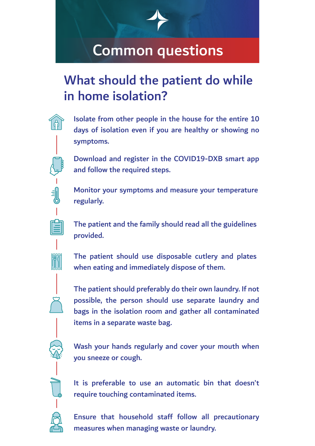### What should the patient do while in home isolation?

days of isolation even if you are healthy or showing no symptoms.

Isolate from other people in the house for the entire 10

Download and register in the COVID19-DXB smart app and follow the required steps.

Monitor your symptoms and measure your temperature regularly.

The patient and the family should read all the guidelines provided.

The patient should use disposable cutlery and plates when eating and immediately dispose of them.

The patient should preferably do their own laundry. If not possible, the person should use separate laundry and bags in the isolation room and gather all contaminated items in a separate waste bag.

Wash your hands regularly and cover your mouth when you sneeze or cough.

It is preferable to use an automatic bin that doesn't require touching contaminated items.

Ensure that household staff follow all precautionary measures when managing waste or laundry.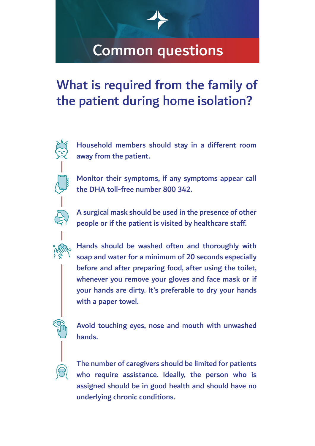### What is required from the family of the patient during home isolation?

Household members should stay in a different room away from the patient.

Monitor their symptoms, if any symptoms appear call the DHA toll-free number 800 342.

A surgical mask should be used in the presence of other people or if the patient is visited by healthcare staff.



 $\sum_{i=1}^{\infty}$ 

Hands should be washed often and thoroughly with soap and water for a minimum of 20 seconds especially before and after preparing food, after using the toilet, whenever you remove your gloves and face mask or if your hands are dirty. It's preferable to dry your hands with a paper towel.

Avoid touching eyes, nose and mouth with unwashed hands.

The number of caregivers should be limited for patients who require assistance. Ideally, the person who is assigned should be in good health and should have no underlying chronic conditions.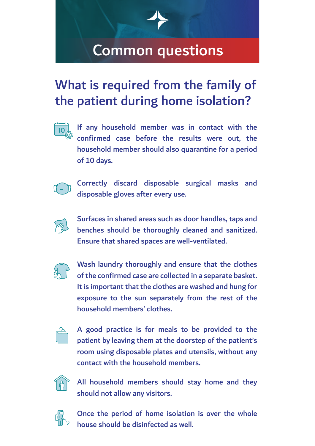### What is required from the family of the patient during home isolation?



If any household member was in contact with the confirmed case before the results were out, the household member should also quarantine for a period of 10 days.

Correctly discard disposable surgical masks and disposable gloves after every use.





Wash laundry thoroughly and ensure that the clothes of the confirmed case are collected in a separate basket. It is important that the clothes are washed and hung for exposure to the sun separately from the rest of the household members' clothes.



A good practice is for meals to be provided to the patient by leaving them at the doorstep of the patient's room using disposable plates and utensils, without any contact with the household members.



All household members should stay home and they should not allow any visitors.



Once the period of home isolation is over the whole house should be disinfected as well.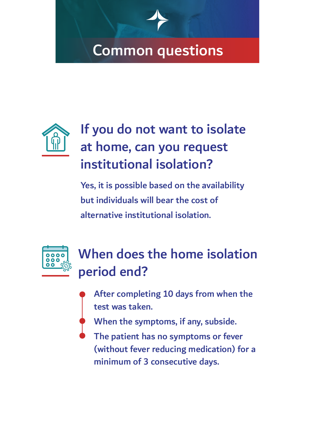

# If you do not want to isolate at home, can you request institutional isolation?

Yes, it is possible based on the availability but individuals will bear the cost of alternative institutional isolation.



# When does the home isolation period end?

- After completing 10 days from when the test was taken.
- When the symptoms, if any, subside.
- The patient has no symptoms or fever (without fever reducing medication) for a minimum of 3 consecutive days.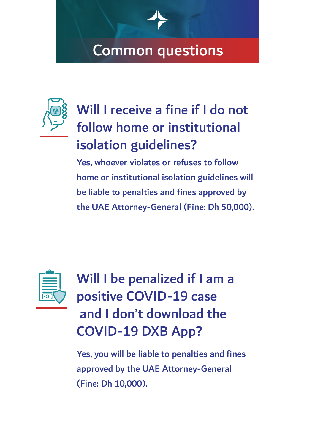

# Will I receive a fine if I do not follow home or institutional isolation guidelines?

Yes, whoever violates or refuses to follow home or institutional isolation guidelines will be liable to penalties and fines approved by the UAE Attorney-General (Fine: Dh 50,000).



Will I be penalized if I am a positive COVID-19 case and I don't download the COVID-19 DXB App?

Yes, you will be liable to penalties and fines approved by the UAE Attorney-General (Fine: Dh 10,000).